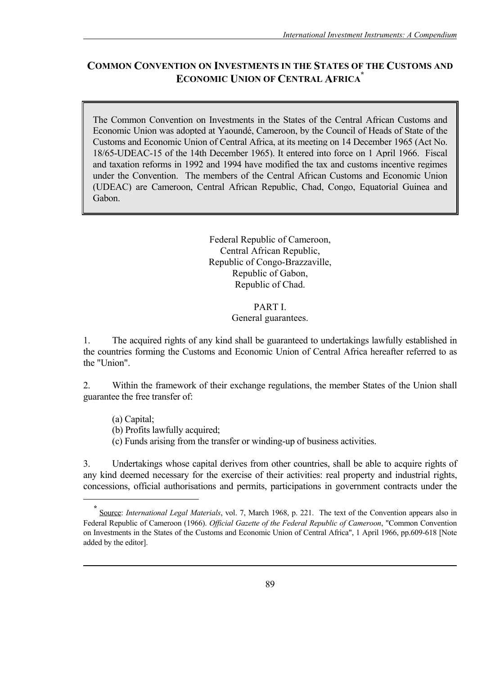# **COMMON CONVENTION ON INVESTMENTS IN THE STATES OF THE CUSTOMS AND ECONOMIC UNION OF CENTRAL AFRICA\***

The Common Convention on Investments in the States of the Central African Customs and Economic Union was adopted at Yaoundé, Cameroon, by the Council of Heads of State of the Customs and Economic Union of Central Africa, at its meeting on 14 December 1965 (Act No. 18/65-UDEAC-15 of the 14th December 1965). It entered into force on 1 April 1966. Fiscal and taxation reforms in 1992 and 1994 have modified the tax and customs incentive regimes under the Convention. The members of the Central African Customs and Economic Union (UDEAC) are Cameroon, Central African Republic, Chad, Congo, Equatorial Guinea and Gabon.

> Federal Republic of Cameroon, Central African Republic, Republic of Congo-Brazzaville, Republic of Gabon, Republic of Chad.

> > PART I. General guarantees.

1. The acquired rights of any kind shall be guaranteed to undertakings lawfully established in the countries forming the Customs and Economic Union of Central Africa hereafter referred to as the "Union".

2. Within the framework of their exchange regulations, the member States of the Union shall guarantee the free transfer of:

- (a) Capital;
- (b) Profits lawfully acquired;
- (c) Funds arising from the transfer or winding-up of business activities.

3. Undertakings whose capital derives from other countries, shall be able to acquire rights of any kind deemed necessary for the exercise of their activities: real property and industrial rights, concessions, official authorisations and permits, participations in government contracts under the

**<sup>\*</sup>** Source: *International Legal Materials*, vol. 7, March 1968, p. 221. The text of the Convention appears also in Federal Republic of Cameroon (1966). *Official Gazette of the Federal Republic of Cameroon*, "Common Convention on Investments in the States of the Customs and Economic Union of Central Africa", 1 April 1966, pp.609-618 [Note added by the editor].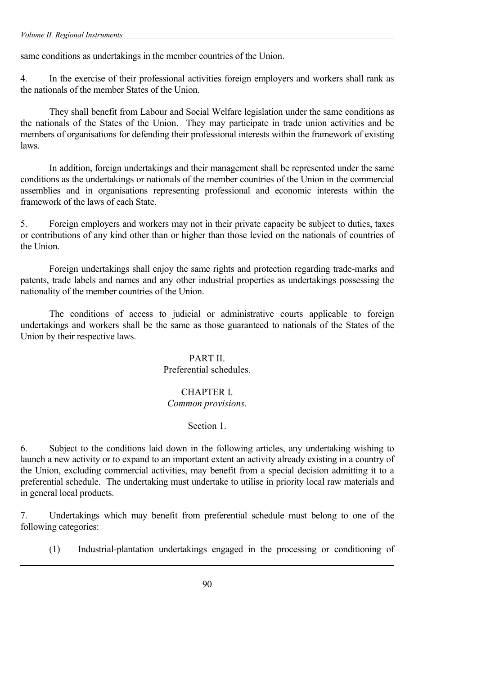same conditions as undertakings in the member countries of the Union.

4. In the exercise of their professional activities foreign employers and workers shall rank as the nationals of the member States of the Union.

They shall benefit from Labour and Social Welfare legislation under the same conditions as the nationals of the States of the Union. They may participate in trade union activities and be members of organisations for defending their professional interests within the framework of existing laws.

In addition, foreign undertakings and their management shall be represented under the same conditions as the undertakings or nationals of the member countries of the Union in the commercial assemblies and in organisations representing professional and economic interests within the framework of the laws of each State.

5. Foreign employers and workers may not in their private capacity be subject to duties, taxes or contributions of any kind other than or higher than those levied on the nationals of countries of the Union

Foreign undertakings shall enjoy the same rights and protection regarding trade-marks and patents, trade labels and names and any other industrial properties as undertakings possessing the nationality of the member countries of the Union.

The conditions of access to judicial or administrative courts applicable to foreign undertakings and workers shall be the same as those guaranteed to nationals of the States of the Union by their respective laws.

## PART II. Preferential schedules.

# CHAPTER I.

# *Common provisions.*

# Section 1.

6. Subject to the conditions laid down in the following articles, any undertaking wishing to launch a new activity or to expand to an important extent an activity already existing in a country of the Union, excluding commercial activities, may benefit from a special decision admitting it to a preferential schedule. The undertaking must undertake to utilise in priority local raw materials and in general local products.

7. Undertakings which may benefit from preferential schedule must belong to one of the following categories:

(1) Industrial-plantation undertakings engaged in the processing or conditioning of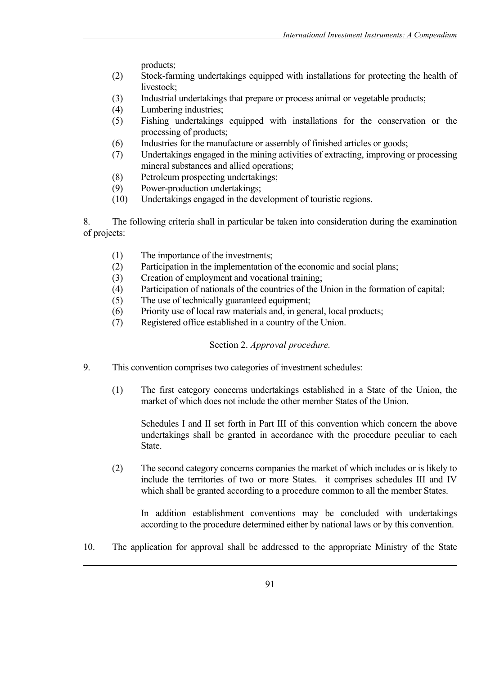products;

- (2) Stock-farming undertakings equipped with installations for protecting the health of livestock<sup>-</sup>
- (3) Industrial undertakings that prepare or process animal or vegetable products;
- (4) Lumbering industries;
- (5) Fishing undertakings equipped with installations for the conservation or the processing of products;
- (6) Industries for the manufacture or assembly of finished articles or goods;
- (7) Undertakings engaged in the mining activities of extracting, improving or processing mineral substances and allied operations;
- (8) Petroleum prospecting undertakings;
- (9) Power-production undertakings;
- (10) Undertakings engaged in the development of touristic regions.

8. The following criteria shall in particular be taken into consideration during the examination of projects:

- (1) The importance of the investments;
- (2) Participation in the implementation of the economic and social plans;
- (3) Creation of employment and vocational training;
- (4) Participation of nationals of the countries of the Union in the formation of capital;
- (5) The use of technically guaranteed equipment;
- (6) Priority use of local raw materials and, in general, local products;
- (7) Registered office established in a country of the Union.

# Section 2. *Approval procedure.*

- 9. This convention comprises two categories of investment schedules:
	- (1) The first category concerns undertakings established in a State of the Union, the market of which does not include the other member States of the Union.

Schedules I and II set forth in Part III of this convention which concern the above undertakings shall be granted in accordance with the procedure peculiar to each **State** 

(2) The second category concerns companies the market of which includes or is likely to include the territories of two or more States. it comprises schedules III and IV which shall be granted according to a procedure common to all the member States.

In addition establishment conventions may be concluded with undertakings according to the procedure determined either by national laws or by this convention.

10. The application for approval shall be addressed to the appropriate Ministry of the State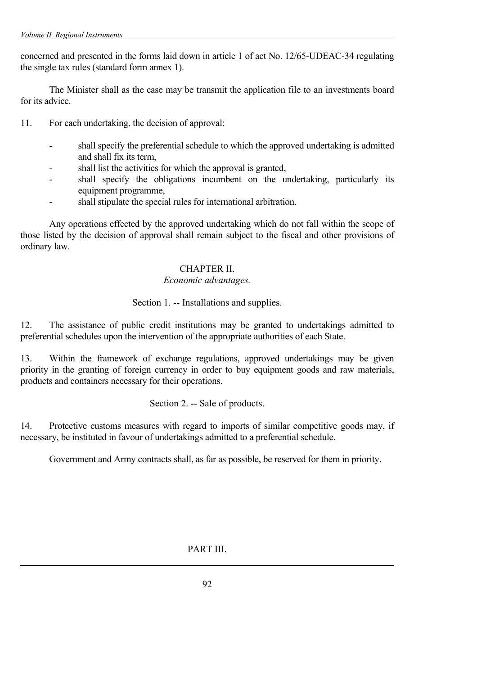concerned and presented in the forms laid down in article 1 of act No. 12/65-UDEAC-34 regulating the single tax rules (standard form annex 1).

The Minister shall as the case may be transmit the application file to an investments board for its advice.

11. For each undertaking, the decision of approval:

- shall specify the preferential schedule to which the approved undertaking is admitted and shall fix its term,
- shall list the activities for which the approval is granted,
- shall specify the obligations incumbent on the undertaking, particularly its equipment programme,
- shall stipulate the special rules for international arbitration.

Any operations effected by the approved undertaking which do not fall within the scope of those listed by the decision of approval shall remain subject to the fiscal and other provisions of ordinary law.

# CHAPTER II.

#### *Economic advantages.*

#### Section 1. -- Installations and supplies.

12. The assistance of public credit institutions may be granted to undertakings admitted to preferential schedules upon the intervention of the appropriate authorities of each State.

13. Within the framework of exchange regulations, approved undertakings may be given priority in the granting of foreign currency in order to buy equipment goods and raw materials, products and containers necessary for their operations.

Section 2. -- Sale of products.

14. Protective customs measures with regard to imports of similar competitive goods may, if necessary, be instituted in favour of undertakings admitted to a preferential schedule.

Government and Army contracts shall, as far as possible, be reserved for them in priority.

PART III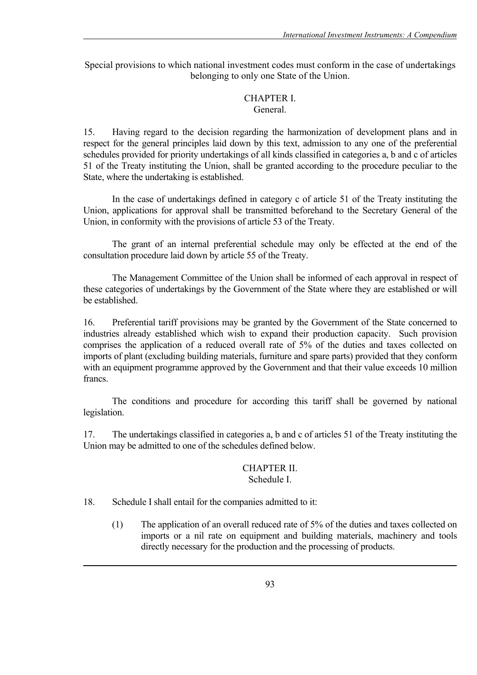Special provisions to which national investment codes must conform in the case of undertakings belonging to only one State of the Union.

## CHAPTER I. General.

15. Having regard to the decision regarding the harmonization of development plans and in respect for the general principles laid down by this text, admission to any one of the preferential schedules provided for priority undertakings of all kinds classified in categories a, b and c of articles 51 of the Treaty instituting the Union, shall be granted according to the procedure peculiar to the State, where the undertaking is established.

In the case of undertakings defined in category c of article 51 of the Treaty instituting the Union, applications for approval shall be transmitted beforehand to the Secretary General of the Union, in conformity with the provisions of article 53 of the Treaty.

The grant of an internal preferential schedule may only be effected at the end of the consultation procedure laid down by article 55 of the Treaty.

The Management Committee of the Union shall be informed of each approval in respect of these categories of undertakings by the Government of the State where they are established or will be established.

16. Preferential tariff provisions may be granted by the Government of the State concerned to industries already established which wish to expand their production capacity. Such provision comprises the application of a reduced overall rate of 5% of the duties and taxes collected on imports of plant (excluding building materials, furniture and spare parts) provided that they conform with an equipment programme approved by the Government and that their value exceeds 10 million francs.

The conditions and procedure for according this tariff shall be governed by national legislation.

17. The undertakings classified in categories a, b and c of articles 51 of the Treaty instituting the Union may be admitted to one of the schedules defined below.

#### CHAPTER II. Schedule I.

# 18. Schedule I shall entail for the companies admitted to it:

(1) The application of an overall reduced rate of 5% of the duties and taxes collected on imports or a nil rate on equipment and building materials, machinery and tools directly necessary for the production and the processing of products.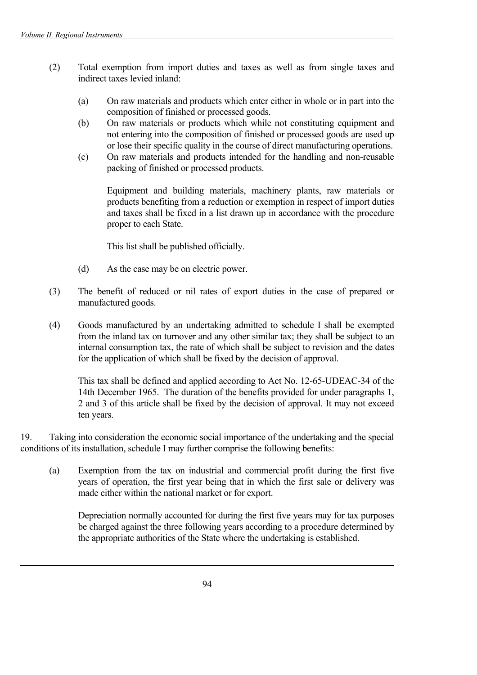- (2) Total exemption from import duties and taxes as well as from single taxes and indirect taxes levied inland:
	- (a) On raw materials and products which enter either in whole or in part into the composition of finished or processed goods.
	- (b) On raw materials or products which while not constituting equipment and not entering into the composition of finished or processed goods are used up or lose their specific quality in the course of direct manufacturing operations.
	- (c) On raw materials and products intended for the handling and non-reusable packing of finished or processed products.

 Equipment and building materials, machinery plants, raw materials or products benefiting from a reduction or exemption in respect of import duties and taxes shall be fixed in a list drawn up in accordance with the procedure proper to each State.

This list shall be published officially.

- (d) As the case may be on electric power.
- (3) The benefit of reduced or nil rates of export duties in the case of prepared or manufactured goods.
- (4) Goods manufactured by an undertaking admitted to schedule I shall be exempted from the inland tax on turnover and any other similar tax; they shall be subject to an internal consumption tax, the rate of which shall be subject to revision and the dates for the application of which shall be fixed by the decision of approval.

This tax shall be defined and applied according to Act No. 12-65-UDEAC-34 of the 14th December 1965. The duration of the benefits provided for under paragraphs 1, 2 and 3 of this article shall be fixed by the decision of approval. It may not exceed ten years.

19. Taking into consideration the economic social importance of the undertaking and the special conditions of its installation, schedule I may further comprise the following benefits:

(a) Exemption from the tax on industrial and commercial profit during the first five years of operation, the first year being that in which the first sale or delivery was made either within the national market or for export.

Depreciation normally accounted for during the first five years may for tax purposes be charged against the three following years according to a procedure determined by the appropriate authorities of the State where the undertaking is established.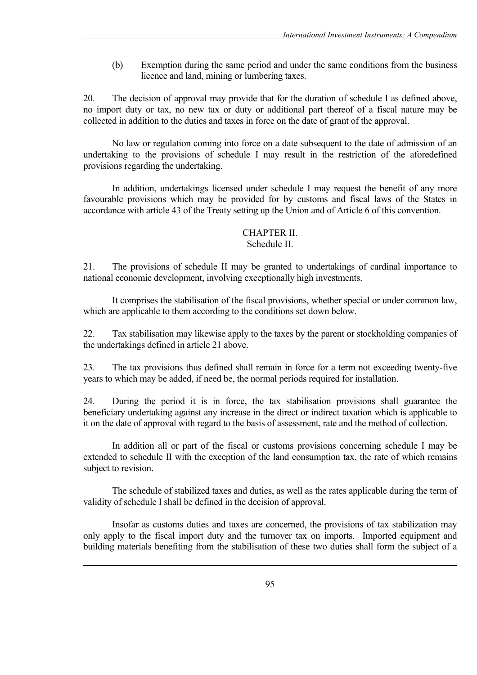(b) Exemption during the same period and under the same conditions from the business licence and land, mining or lumbering taxes.

20. The decision of approval may provide that for the duration of schedule I as defined above, no import duty or tax, no new tax or duty or additional part thereof of a fiscal nature may be collected in addition to the duties and taxes in force on the date of grant of the approval.

No law or regulation coming into force on a date subsequent to the date of admission of an undertaking to the provisions of schedule I may result in the restriction of the aforedefined provisions regarding the undertaking.

In addition, undertakings licensed under schedule I may request the benefit of any more favourable provisions which may be provided for by customs and fiscal laws of the States in accordance with article 43 of the Treaty setting up the Union and of Article 6 of this convention.

# CHAPTER II.

## Schedule II.

21. The provisions of schedule II may be granted to undertakings of cardinal importance to national economic development, involving exceptionally high investments.

It comprises the stabilisation of the fiscal provisions, whether special or under common law, which are applicable to them according to the conditions set down below.

22. Tax stabilisation may likewise apply to the taxes by the parent or stockholding companies of the undertakings defined in article 21 above.

23. The tax provisions thus defined shall remain in force for a term not exceeding twenty-five years to which may be added, if need be, the normal periods required for installation.

24. During the period it is in force, the tax stabilisation provisions shall guarantee the beneficiary undertaking against any increase in the direct or indirect taxation which is applicable to it on the date of approval with regard to the basis of assessment, rate and the method of collection.

In addition all or part of the fiscal or customs provisions concerning schedule I may be extended to schedule II with the exception of the land consumption tax, the rate of which remains subject to revision.

The schedule of stabilized taxes and duties, as well as the rates applicable during the term of validity of schedule I shall be defined in the decision of approval.

Insofar as customs duties and taxes are concerned, the provisions of tax stabilization may only apply to the fiscal import duty and the turnover tax on imports. Imported equipment and building materials benefiting from the stabilisation of these two duties shall form the subject of a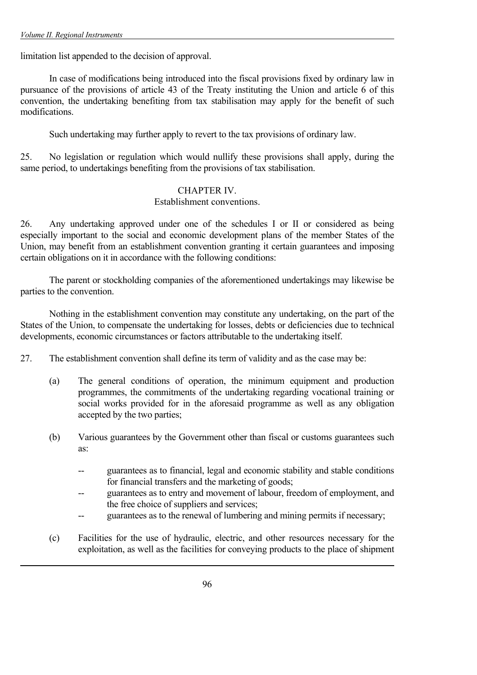limitation list appended to the decision of approval.

In case of modifications being introduced into the fiscal provisions fixed by ordinary law in pursuance of the provisions of article 43 of the Treaty instituting the Union and article 6 of this convention, the undertaking benefiting from tax stabilisation may apply for the benefit of such modifications.

Such undertaking may further apply to revert to the tax provisions of ordinary law.

25. No legislation or regulation which would nullify these provisions shall apply, during the same period, to undertakings benefiting from the provisions of tax stabilisation.

# CHAPTER IV.

#### Establishment conventions.

26. Any undertaking approved under one of the schedules I or II or considered as being especially important to the social and economic development plans of the member States of the Union, may benefit from an establishment convention granting it certain guarantees and imposing certain obligations on it in accordance with the following conditions:

The parent or stockholding companies of the aforementioned undertakings may likewise be parties to the convention.

Nothing in the establishment convention may constitute any undertaking, on the part of the States of the Union, to compensate the undertaking for losses, debts or deficiencies due to technical developments, economic circumstances or factors attributable to the undertaking itself.

- 27. The establishment convention shall define its term of validity and as the case may be:
	- (a) The general conditions of operation, the minimum equipment and production programmes, the commitments of the undertaking regarding vocational training or social works provided for in the aforesaid programme as well as any obligation accepted by the two parties;
	- (b) Various guarantees by the Government other than fiscal or customs guarantees such as:
		- guarantees as to financial, legal and economic stability and stable conditions for financial transfers and the marketing of goods;
		- guarantees as to entry and movement of labour, freedom of employment, and the free choice of suppliers and services;
		- -- guarantees as to the renewal of lumbering and mining permits if necessary;
	- (c) Facilities for the use of hydraulic, electric, and other resources necessary for the exploitation, as well as the facilities for conveying products to the place of shipment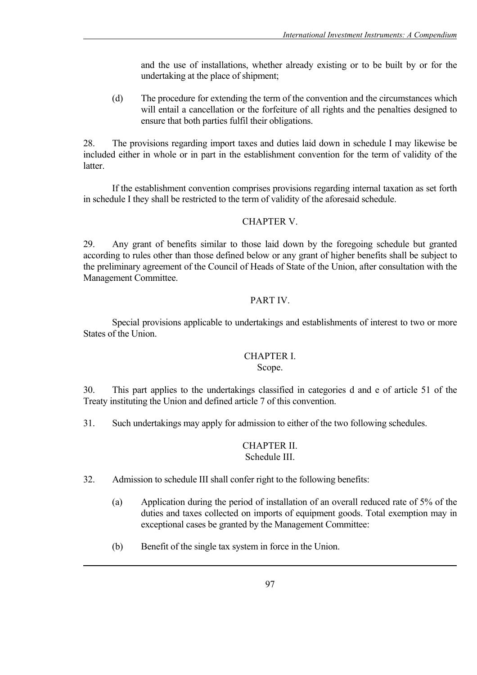and the use of installations, whether already existing or to be built by or for the undertaking at the place of shipment;

(d) The procedure for extending the term of the convention and the circumstances which will entail a cancellation or the forfeiture of all rights and the penalties designed to ensure that both parties fulfil their obligations.

28. The provisions regarding import taxes and duties laid down in schedule I may likewise be included either in whole or in part in the establishment convention for the term of validity of the **latter** 

If the establishment convention comprises provisions regarding internal taxation as set forth in schedule I they shall be restricted to the term of validity of the aforesaid schedule.

#### CHAPTER V.

29. Any grant of benefits similar to those laid down by the foregoing schedule but granted according to rules other than those defined below or any grant of higher benefits shall be subject to the preliminary agreement of the Council of Heads of State of the Union, after consultation with the Management Committee.

#### PART IV.

Special provisions applicable to undertakings and establishments of interest to two or more States of the Union.

#### CHAPTER I.

#### Scope.

30. This part applies to the undertakings classified in categories d and e of article 51 of the Treaty instituting the Union and defined article 7 of this convention.

31. Such undertakings may apply for admission to either of the two following schedules.

#### CHAPTER II. Schedule III.

32. Admission to schedule III shall confer right to the following benefits:

- (a) Application during the period of installation of an overall reduced rate of 5% of the duties and taxes collected on imports of equipment goods. Total exemption may in exceptional cases be granted by the Management Committee:
- (b) Benefit of the single tax system in force in the Union.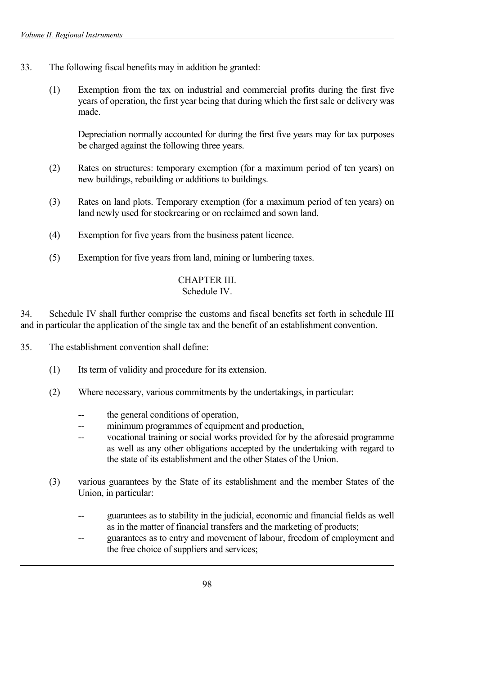- 33. The following fiscal benefits may in addition be granted:
	- (1) Exemption from the tax on industrial and commercial profits during the first five years of operation, the first year being that during which the first sale or delivery was made.

Depreciation normally accounted for during the first five years may for tax purposes be charged against the following three years.

- (2) Rates on structures: temporary exemption (for a maximum period of ten years) on new buildings, rebuilding or additions to buildings.
- (3) Rates on land plots. Temporary exemption (for a maximum period of ten years) on land newly used for stockrearing or on reclaimed and sown land.
- (4) Exemption for five years from the business patent licence.
- (5) Exemption for five years from land, mining or lumbering taxes.

#### CHAPTER III. Schedule IV.

34. Schedule IV shall further comprise the customs and fiscal benefits set forth in schedule III and in particular the application of the single tax and the benefit of an establishment convention.

- 35. The establishment convention shall define:
	- (1) Its term of validity and procedure for its extension.
	- (2) Where necessary, various commitments by the undertakings, in particular:
		- the general conditions of operation,
		- -- minimum programmes of equipment and production,
		- vocational training or social works provided for by the aforesaid programme as well as any other obligations accepted by the undertaking with regard to the state of its establishment and the other States of the Union.
	- (3) various guarantees by the State of its establishment and the member States of the Union, in particular:
		- -- guarantees as to stability in the judicial, economic and financial fields as well as in the matter of financial transfers and the marketing of products;
		- guarantees as to entry and movement of labour, freedom of employment and the free choice of suppliers and services;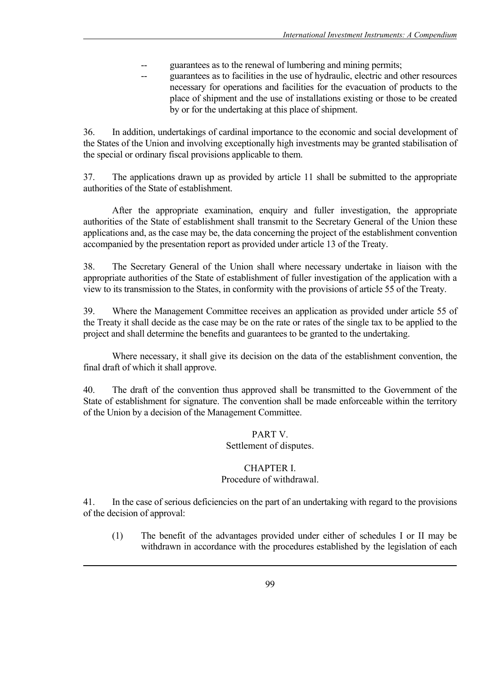- guarantees as to the renewal of lumbering and mining permits;
- guarantees as to facilities in the use of hydraulic, electric and other resources necessary for operations and facilities for the evacuation of products to the place of shipment and the use of installations existing or those to be created by or for the undertaking at this place of shipment.

36. In addition, undertakings of cardinal importance to the economic and social development of the States of the Union and involving exceptionally high investments may be granted stabilisation of the special or ordinary fiscal provisions applicable to them.

37. The applications drawn up as provided by article 11 shall be submitted to the appropriate authorities of the State of establishment.

After the appropriate examination, enquiry and fuller investigation, the appropriate authorities of the State of establishment shall transmit to the Secretary General of the Union these applications and, as the case may be, the data concerning the project of the establishment convention accompanied by the presentation report as provided under article 13 of the Treaty.

38. The Secretary General of the Union shall where necessary undertake in liaison with the appropriate authorities of the State of establishment of fuller investigation of the application with a view to its transmission to the States, in conformity with the provisions of article 55 of the Treaty.

39. Where the Management Committee receives an application as provided under article 55 of the Treaty it shall decide as the case may be on the rate or rates of the single tax to be applied to the project and shall determine the benefits and guarantees to be granted to the undertaking.

Where necessary, it shall give its decision on the data of the establishment convention, the final draft of which it shall approve.

40. The draft of the convention thus approved shall be transmitted to the Government of the State of establishment for signature. The convention shall be made enforceable within the territory of the Union by a decision of the Management Committee.

## PART V. Settlement of disputes.

# CHAPTER I.

#### Procedure of withdrawal.

41. In the case of serious deficiencies on the part of an undertaking with regard to the provisions of the decision of approval:

(1) The benefit of the advantages provided under either of schedules I or II may be withdrawn in accordance with the procedures established by the legislation of each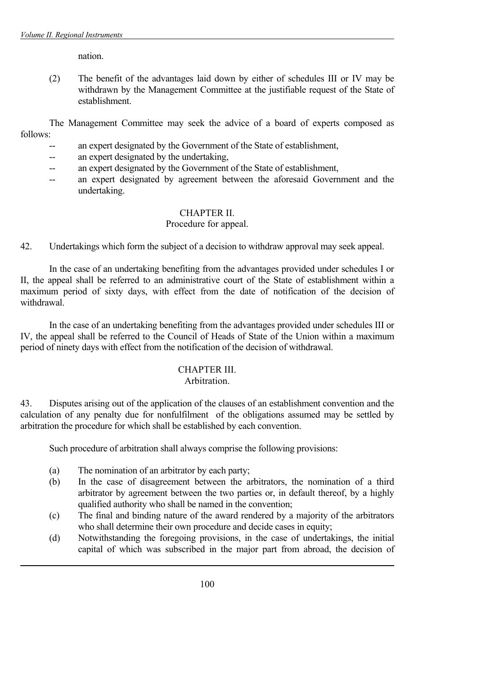nation.

(2) The benefit of the advantages laid down by either of schedules III or IV may be withdrawn by the Management Committee at the justifiable request of the State of establishment.

The Management Committee may seek the advice of a board of experts composed as follows:

- -- an expert designated by the Government of the State of establishment,
- -- an expert designated by the undertaking,
- an expert designated by the Government of the State of establishment,
- -- an expert designated by agreement between the aforesaid Government and the undertaking.

## **CHAPTER II.**

#### Procedure for appeal.

42. Undertakings which form the subject of a decision to withdraw approval may seek appeal.

In the case of an undertaking benefiting from the advantages provided under schedules I or II, the appeal shall be referred to an administrative court of the State of establishment within a maximum period of sixty days, with effect from the date of notification of the decision of withdrawal.

In the case of an undertaking benefiting from the advantages provided under schedules III or IV, the appeal shall be referred to the Council of Heads of State of the Union within a maximum period of ninety days with effect from the notification of the decision of withdrawal.

#### CHAPTER III. Arbitration.

43. Disputes arising out of the application of the clauses of an establishment convention and the calculation of any penalty due for nonfulfilment of the obligations assumed may be settled by arbitration the procedure for which shall be established by each convention.

Such procedure of arbitration shall always comprise the following provisions:

- (a) The nomination of an arbitrator by each party;
- (b) In the case of disagreement between the arbitrators, the nomination of a third arbitrator by agreement between the two parties or, in default thereof, by a highly qualified authority who shall be named in the convention;
- (c) The final and binding nature of the award rendered by a majority of the arbitrators who shall determine their own procedure and decide cases in equity;
- (d) Notwithstanding the foregoing provisions, in the case of undertakings, the initial capital of which was subscribed in the major part from abroad, the decision of